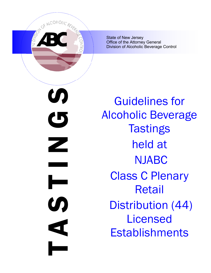

State of New Jersey Office of the Attorney General Division of Alcoholic Beverage Control

N<br>N<br>D<br>N<br>S<br>N<br>S<br>N<br>S<br>N<br>S<br>D<br>N<br>S<br>D<br>D<br> $\blacksquare$ U)  $\mathbf G$ Z **S**  $\blacktriangleleft$ 

Guidelines for Alcoholic Beverage **Tastings** held at NJABC Class C Plenary Retail Distribution (44) Licensed **Establishments**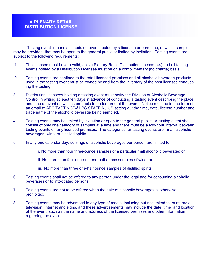"Tasting event" means a scheduled event hosted by a licensee or permittee, at which samples may be provided, that may be open to the general public or limited by invitation. Tasting events are subject to the following requirements:

- 1. The licensee must have a valid, active Plenary Retail Distribution License (44) and all tasting events hosted by a Distribution Licensee must be on a complimentary (no charge) basis.
- 2. Tasting events are confined to the retail licensed premises and all alcoholic beverage products used in the tasting event must be owned by and from the inventory of the host licensee conducting the tasting.
- 3. Distribution licensees holding a tasting event must notify the Division of Alcoholic Beverage Control in writing at least ten days in advance of conducting a tasting event describing the place and time of event as well as products to be featured at the event. Notice must be in the form of an email to **ABC.TASTINGS@LPS.STATE.NJ.US** setting out the time, date, license number and trade name of the alcoholic beverage being sampled.
- 4. Tasting events may be limited by invitation or open to the general public. A tasting event shall consist of only one category of samples at a time and there must be a two-hour interval between tasting events on any licensed premises. The categories for tasting events are: malt alcoholic beverages, wine, or distilled spirits.
- 5. In any one calendar day, servings of alcoholic beverages per person are limited to:
	- i. No more than four three-ounce samples of a particular malt alcoholic beverage; or
	- ii. No more than four one-and one-half ounce samples of wine; or
	- iii. No more than three one-half ounce samples of distilled spirits.
- 6. Tasting events shall not be offered to any person under the legal age for consuming alcoholic beverages or to intoxicated persons.
- 7. Tasting events are not to be offered when the sale of alcoholic beverages is otherwise prohibited.
- 8. Tasting events may be advertised in any type of media, including but not limited to, print, radio, television, Internet and signs, and these advertisements may include the date, time and location of the event, such as the name and address of the licensed premises and other information regarding the event.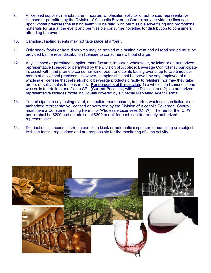- 9. A licensed supplier, manufacturer, importer, wholesaler, solicitor or authorized representative licensed or permitted by the Division of Alcoholic Beverage Control may provide the licensee, upon whose premises the tasting event will be held, with permissible advertising and promotional materials for use at the event and permissible consumer novelties for distribution to consumers attending the event.
- 10. Sampling/Tasting events may not take place at a "bar".
- 11. Only snack foods or hors d'oeuvres may be served at a tasting event and all food served must be provided by the retail distribution licensee to consumers without charge.
- 12. Any licensed or permitted supplier, manufacturer, importer, wholesaler, solicitor or an authorized representative licensed or permitted by the Division of Alcoholic Beverage Control may participate in, assist with, and promote consumer wine, beer, and spirits tasting events up to two times per month at a licensed premises. However, samples shall not be served by any employee of a wholesale licensee that sells alcoholic beverage products directly to retailers; nor may they take orders or solicit sales to consumers. **For purposes of this section:** 1) a wholesale licensee is one who sells to retailers and files a CPL (Current Price List) with the Division; and 2) an authorized representative includes those individuals covered by a Special Marketing Agent Permit.
- 13. To participate in any tasting event, a supplier, manufacturer, importer, wholesaler, solicitor or an authorized representative licensed or permitted by the Division of Alcoholic Beverage Control, must have a Consumer Tasting Permit for Wholesale Licensees (CTW). The fee for the CTW permit shall be \$200 and an additional \$200 permit for each solicitor or duly authorized representative.
- 14. Distribution licensees utilizing a sampling kiosk or automatic dispenser for sampling are subject to these tasting regulations and are responsible for the monitoring of such activity.